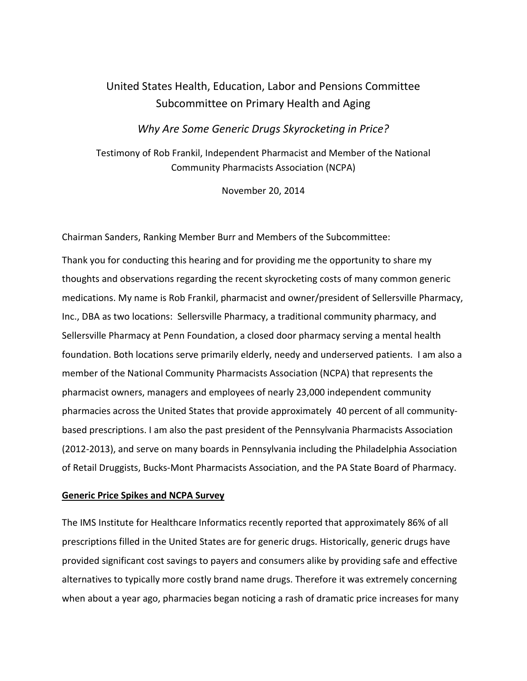# United States Health, Education, Labor and Pensions Committee Subcommittee on Primary Health and Aging

# *Why Are Some Generic Drugs Skyrocketing in Price?*

Testimony of Rob Frankil, Independent Pharmacist and Member of the National Community Pharmacists Association (NCPA)

November 20, 2014

Chairman Sanders, Ranking Member Burr and Members of the Subcommittee:

Thank you for conducting this hearing and for providing me the opportunity to share my thoughts and observations regarding the recent skyrocketing costs of many common generic medications. My name is Rob Frankil, pharmacist and owner/president of Sellersville Pharmacy, Inc., DBA as two locations: Sellersville Pharmacy, a traditional community pharmacy, and Sellersville Pharmacy at Penn Foundation, a closed door pharmacy serving a mental health foundation. Both locations serve primarily elderly, needy and underserved patients. I am also a member of the National Community Pharmacists Association (NCPA) that represents the pharmacist owners, managers and employees of nearly 23,000 independent community pharmacies across the United States that provide approximately 40 percent of all communitybased prescriptions. I am also the past president of the Pennsylvania Pharmacists Association (2012-2013), and serve on many boards in Pennsylvania including the Philadelphia Association of Retail Druggists, Bucks-Mont Pharmacists Association, and the PA State Board of Pharmacy.

## **Generic Price Spikes and NCPA Survey**

The IMS Institute for Healthcare Informatics recently reported that approximately 86% of all prescriptions filled in the United States are for generic drugs. Historically, generic drugs have provided significant cost savings to payers and consumers alike by providing safe and effective alternatives to typically more costly brand name drugs. Therefore it was extremely concerning when about a year ago, pharmacies began noticing a rash of dramatic price increases for many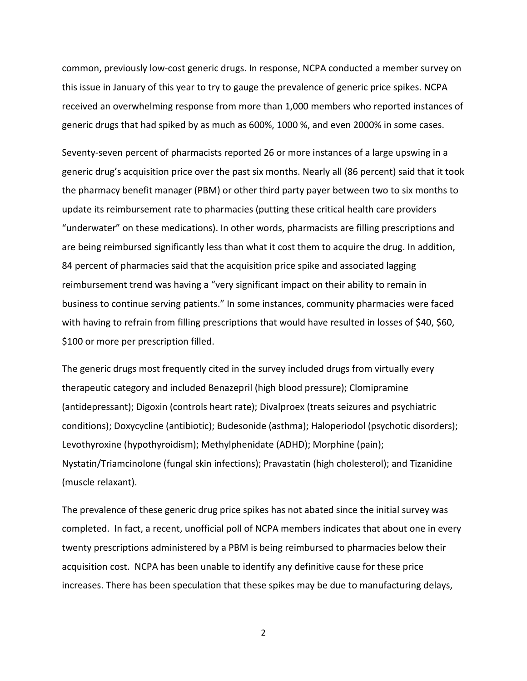common, previously low-cost generic drugs. In response, NCPA conducted a member survey on this issue in January of this year to try to gauge the prevalence of generic price spikes. NCPA received an overwhelming response from more than 1,000 members who reported instances of generic drugs that had spiked by as much as 600%, 1000 %, and even 2000% in some cases.

Seventy-seven percent of pharmacists reported 26 or more instances of a large upswing in a generic drug's acquisition price over the past six months. Nearly all (86 percent) said that it took the pharmacy benefit manager (PBM) or other third party payer between two to six months to update its reimbursement rate to pharmacies (putting these critical health care providers "underwater" on these medications). In other words, pharmacists are filling prescriptions and are being reimbursed significantly less than what it cost them to acquire the drug. In addition, 84 percent of pharmacies said that the acquisition price spike and associated lagging reimbursement trend was having a "very significant impact on their ability to remain in business to continue serving patients." In some instances, community pharmacies were faced with having to refrain from filling prescriptions that would have resulted in losses of \$40, \$60, \$100 or more per prescription filled.

The generic drugs most frequently cited in the survey included drugs from virtually every therapeutic category and included Benazepril (high blood pressure); Clomipramine (antidepressant); Digoxin (controls heart rate); Divalproex (treats seizures and psychiatric conditions); Doxycycline (antibiotic); Budesonide (asthma); Haloperiodol (psychotic disorders); Levothyroxine (hypothyroidism); Methylphenidate (ADHD); Morphine (pain); Nystatin/Triamcinolone (fungal skin infections); Pravastatin (high cholesterol); and Tizanidine (muscle relaxant).

The prevalence of these generic drug price spikes has not abated since the initial survey was completed. In fact, a recent, unofficial poll of NCPA members indicates that about one in every twenty prescriptions administered by a PBM is being reimbursed to pharmacies below their acquisition cost. NCPA has been unable to identify any definitive cause for these price increases. There has been speculation that these spikes may be due to manufacturing delays,

2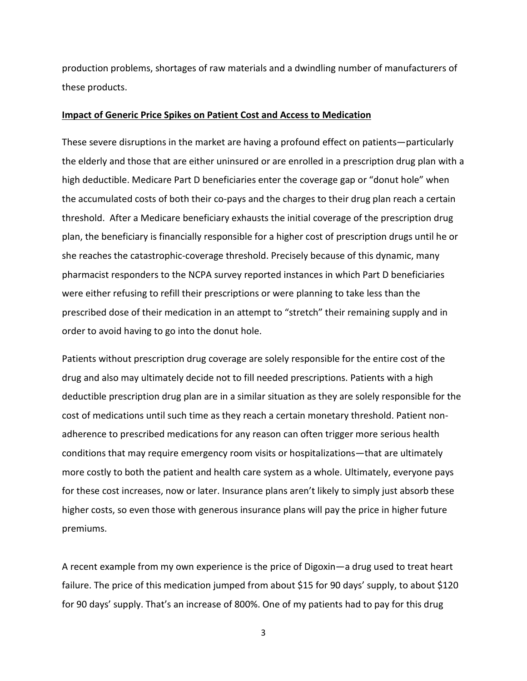production problems, shortages of raw materials and a dwindling number of manufacturers of these products.

#### **Impact of Generic Price Spikes on Patient Cost and Access to Medication**

These severe disruptions in the market are having a profound effect on patients—particularly the elderly and those that are either uninsured or are enrolled in a prescription drug plan with a high deductible. Medicare Part D beneficiaries enter the coverage gap or "donut hole" when the accumulated costs of both their co-pays and the charges to their drug plan reach a certain threshold. After a Medicare beneficiary exhausts the initial coverage of the prescription drug plan, the beneficiary is financially responsible for a higher cost of prescription drugs until he or she reaches the catastrophic-coverage threshold. Precisely because of this dynamic, many pharmacist responders to the NCPA survey reported instances in which Part D beneficiaries were either refusing to refill their prescriptions or were planning to take less than the prescribed dose of their medication in an attempt to "stretch" their remaining supply and in order to avoid having to go into the donut hole.

Patients without prescription drug coverage are solely responsible for the entire cost of the drug and also may ultimately decide not to fill needed prescriptions. Patients with a high deductible prescription drug plan are in a similar situation as they are solely responsible for the cost of medications until such time as they reach a certain monetary threshold. Patient nonadherence to prescribed medications for any reason can often trigger more serious health conditions that may require emergency room visits or hospitalizations—that are ultimately more costly to both the patient and health care system as a whole. Ultimately, everyone pays for these cost increases, now or later. Insurance plans aren't likely to simply just absorb these higher costs, so even those with generous insurance plans will pay the price in higher future premiums.

A recent example from my own experience is the price of Digoxin—a drug used to treat heart failure. The price of this medication jumped from about \$15 for 90 days' supply, to about \$120 for 90 days' supply. That's an increase of 800%. One of my patients had to pay for this drug

3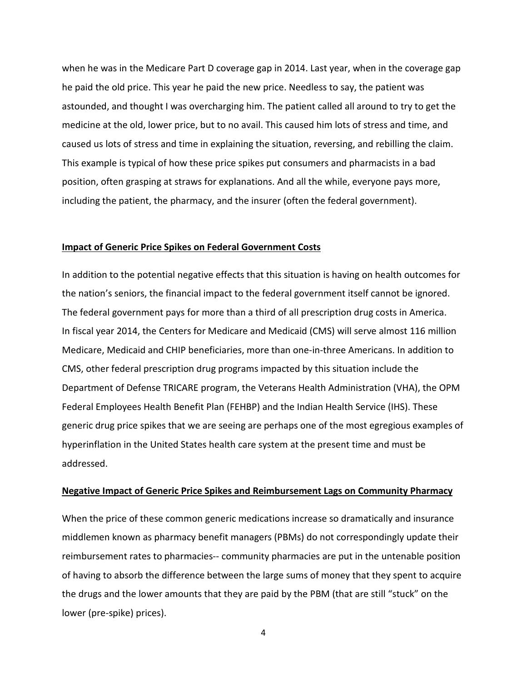when he was in the Medicare Part D coverage gap in 2014. Last year, when in the coverage gap he paid the old price. This year he paid the new price. Needless to say, the patient was astounded, and thought I was overcharging him. The patient called all around to try to get the medicine at the old, lower price, but to no avail. This caused him lots of stress and time, and caused us lots of stress and time in explaining the situation, reversing, and rebilling the claim. This example is typical of how these price spikes put consumers and pharmacists in a bad position, often grasping at straws for explanations. And all the while, everyone pays more, including the patient, the pharmacy, and the insurer (often the federal government).

### **Impact of Generic Price Spikes on Federal Government Costs**

In addition to the potential negative effects that this situation is having on health outcomes for the nation's seniors, the financial impact to the federal government itself cannot be ignored. The federal government pays for more than a third of all prescription drug costs in America. In fiscal year 2014, the Centers for Medicare and Medicaid (CMS) will serve almost 116 million Medicare, Medicaid and CHIP beneficiaries, more than one-in-three Americans. In addition to CMS, other federal prescription drug programs impacted by this situation include the Department of Defense TRICARE program, the Veterans Health Administration (VHA), the OPM Federal Employees Health Benefit Plan (FEHBP) and the Indian Health Service (IHS). These generic drug price spikes that we are seeing are perhaps one of the most egregious examples of hyperinflation in the United States health care system at the present time and must be addressed.

#### **Negative Impact of Generic Price Spikes and Reimbursement Lags on Community Pharmacy**

When the price of these common generic medications increase so dramatically and insurance middlemen known as pharmacy benefit managers (PBMs) do not correspondingly update their reimbursement rates to pharmacies-- community pharmacies are put in the untenable position of having to absorb the difference between the large sums of money that they spent to acquire the drugs and the lower amounts that they are paid by the PBM (that are still "stuck" on the lower (pre-spike) prices).

4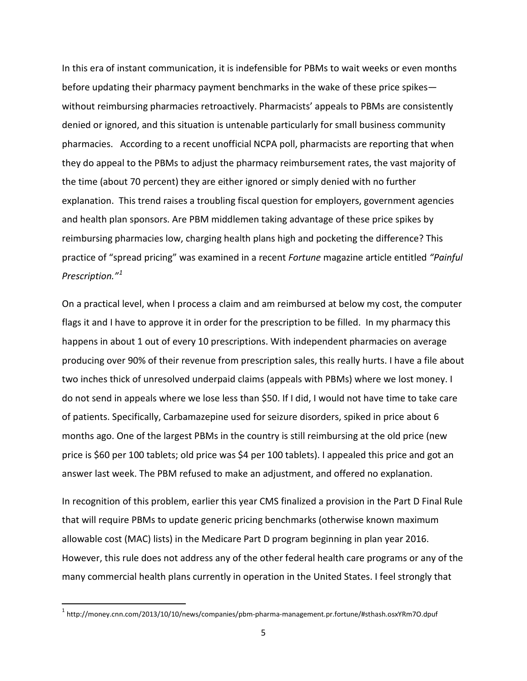In this era of instant communication, it is indefensible for PBMs to wait weeks or even months before updating their pharmacy payment benchmarks in the wake of these price spikes without reimbursing pharmacies retroactively. Pharmacists' appeals to PBMs are consistently denied or ignored, and this situation is untenable particularly for small business community pharmacies. According to a recent unofficial NCPA poll, pharmacists are reporting that when they do appeal to the PBMs to adjust the pharmacy reimbursement rates, the vast majority of the time (about 70 percent) they are either ignored or simply denied with no further explanation. This trend raises a troubling fiscal question for employers, government agencies and health plan sponsors. Are PBM middlemen taking advantage of these price spikes by reimbursing pharmacies low, charging health plans high and pocketing the difference? This practice of "spread pricing" was examined in a recent *Fortune* magazine article entitled *"Painful Prescription."[1](#page-4-0)* 

On a practical level, when I process a claim and am reimbursed at below my cost, the computer flags it and I have to approve it in order for the prescription to be filled. In my pharmacy this happens in about 1 out of every 10 prescriptions. With independent pharmacies on average producing over 90% of their revenue from prescription sales, this really hurts. I have a file about two inches thick of unresolved underpaid claims (appeals with PBMs) where we lost money. I do not send in appeals where we lose less than \$50. If I did, I would not have time to take care of patients. Specifically, Carbamazepine used for seizure disorders, spiked in price about 6 months ago. One of the largest PBMs in the country is still reimbursing at the old price (new price is \$60 per 100 tablets; old price was \$4 per 100 tablets). I appealed this price and got an answer last week. The PBM refused to make an adjustment, and offered no explanation.

In recognition of this problem, earlier this year CMS finalized a provision in the Part D Final Rule that will require PBMs to update generic pricing benchmarks (otherwise known maximum allowable cost (MAC) lists) in the Medicare Part D program beginning in plan year 2016. However, this rule does not address any of the other federal health care programs or any of the many commercial health plans currently in operation in the United States. I feel strongly that

<span id="page-4-0"></span> <sup>1</sup> http://money.cnn.com/2013/10/10/news/companies/pbm-pharma-management.pr.fortune/#sthash.osxYRm7O.dpuf